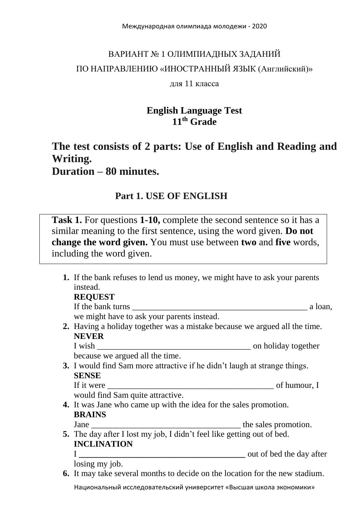# ВАРИАНТ № 1 ОЛИМПИАДНЫХ ЗАДАНИЙ ПО НАПРАВЛЕНИЮ «ИНОСТРАННЫЙ ЯЗЫК (Английский)»

#### для 11 класса

# **English Language Test 11 th Grade**

# **The test consists of 2 parts: Use of English and Reading and Writing. Duration – 80 minutes.**

## **Part 1. USE OF ENGLISH**

**Task 1.** For questions **1-10,** complete the second sentence so it has a similar meaning to the first sentence, using the word given. **Do not change the word given.** You must use between **two** and **five** words, including the word given.

**1.** If the bank refuses to lend us money, we might have to ask your parents instead. **REQUEST** If the bank turns a loan, we might have to ask your parents instead. **2.** Having a holiday together was a mistake because we argued all the time. **NEVER** I wish  $\blacksquare$ because we argued all the time. **3.** I would find Sam more attractive if he didn't laugh at strange things. **SENSE** If it were of humour, I would find Sam quite attractive. **4.** It was Jane who came up with the idea for the sales promotion. **BRAINS** Jane \_\_\_\_\_\_\_\_\_\_\_\_\_\_\_\_\_\_\_\_\_\_\_\_\_\_\_\_\_\_\_\_\_\_\_ the sales promotion. **5.** The day after I lost my job, I didn't feel like getting out of bed. **INCLINATION** I **\_\_\_\_\_\_\_\_\_\_\_\_\_\_\_\_\_\_\_\_\_\_\_\_\_\_\_\_\_\_\_\_\_\_\_\_\_\_\_** out of bed the day after losing my job. **6.** It may take several months to decide on the location for the new stadium.

Национальный исследовательский университет «Высшая школа экономики»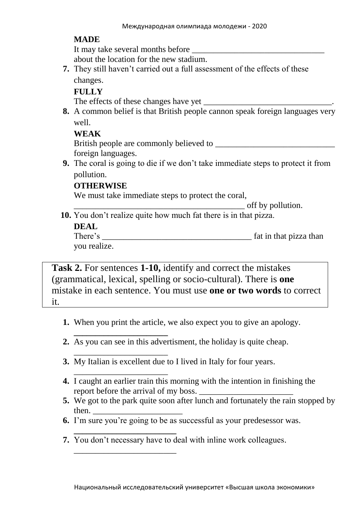#### **MADE**

It may take several months before

about the location for the new stadium.

**7.** They still haven't carried out a full assessment of the effects of these changes.

#### **FULLY**

The effects of these changes have yet \_\_\_\_\_\_\_\_\_\_\_\_\_\_\_\_\_\_\_\_\_\_\_\_\_\_\_\_\_\_.

**8.** A common belief is that British people cannon speak foreign languages very well.

#### **WEAK**

British people are commonly believed to foreign languages.

**9.** The coral is going to die if we don't take immediate steps to protect it from pollution.

## **OTHERWISE**

**\_\_\_\_\_\_\_\_\_\_\_\_\_\_\_\_\_\_\_\_\_\_**

\_\_\_\_\_\_\_\_\_\_\_\_\_\_\_\_\_\_\_\_\_\_

\_\_\_\_\_\_\_\_\_\_\_\_\_\_\_\_\_\_\_\_\_\_\_\_

We must take immediate steps to protect the coral,

\_\_\_\_\_\_\_\_\_\_\_\_\_\_\_\_\_\_\_\_\_\_\_\_\_\_\_\_\_\_\_\_\_\_\_\_\_\_\_\_ off by pollution.

**10.** You don't realize quite how much fat there is in that pizza.

#### **DEAL**

| There's      | fat in that pizza than |
|--------------|------------------------|
| you realize. |                        |

**Task 2.** For sentences **1-10,** identify and correct the mistakes (grammatical, lexical, spelling or socio-cultural). There is **one** mistake in each sentence. You must use **one or two words** to correct it.

- **1.** When you print the article, we also expect you to give an apology.
- **2.** As you can see in this advertisment, the holiday is quite cheap.
- \_\_\_\_\_\_\_\_\_\_\_\_\_\_\_\_\_\_\_\_\_\_ **3.** My Italian is excellent due to I lived in Italy for four years.
- **4.** I caught an earlier train this morning with the intention in finishing the report before the arrival of my boss.
- **5.** We got to the park quite soon after lunch and fortunately the rain stopped by then.
- **6.** I'm sure you're going to be as successful as your predesessor was.
- **\_\_\_\_\_\_\_\_\_\_\_\_\_\_\_\_\_\_\_\_\_\_\_\_ 7.** You don't necessary have to deal with inline work colleagues.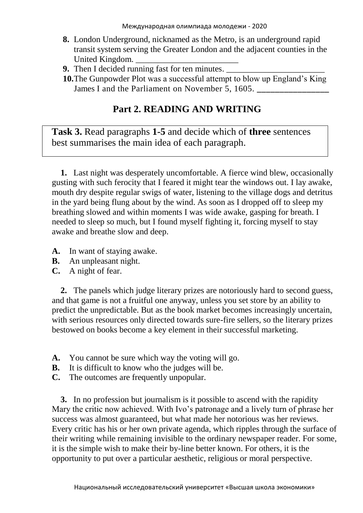- **8.** London Underground, nicknamed as the Metro, is an underground rapid transit system serving the Greater London and the adjacent counties in the United Kingdom.
- **9.** Then I decided running fast for ten minutes.
- **10.**The Gunpowder Plot was a successful attempt to blow up England's King James I and the Parliament on November 5, 1605.

# **Part 2. READING AND WRITING**

**Task 3.** Read paragraphs **1-5** and decide which of **three** sentences best summarises the main idea of each paragraph.

**1.** Last night was desperately uncomfortable. A fierce wind blew, occasionally gusting with such ferocity that I feared it might tear the windows out. I lay awake, mouth dry despite regular swigs of water, listening to the village dogs and detritus in the yard being flung about by the wind. As soon as I dropped off to sleep my breathing slowed and within moments I was wide awake, gasping for breath. I needed to sleep so much, but I found myself fighting it, forcing myself to stay awake and breathe slow and deep.

- **A.** In want of staying awake.
- **B.** An unpleasant night.
- **C.** A night of fear.

**2.** The panels which judge literary prizes are notoriously hard to second guess, and that game is not a fruitful one anyway, unless you set store by an ability to predict the unpredictable. But as the book market becomes increasingly uncertain, with serious resources only directed towards sure-fire sellers, so the literary prizes bestowed on books become a key element in their successful marketing.

- **A.** You cannot be sure which way the voting will go.
- **B.** It is difficult to know who the judges will be.
- **C.** The outcomes are frequently unpopular.

**3.** In no profession but journalism is it possible to ascend with the rapidity Mary the critic now achieved. With Ivo's patronage and a lively turn of phrase her success was almost guaranteed, but what made her notorious was her reviews. Every critic has his or her own private agenda, which ripples through the surface of their writing while remaining invisible to the ordinary newspaper reader. For some, it is the simple wish to make their by-line better known. For others, it is the opportunity to put over a particular aesthetic, religious or moral perspective.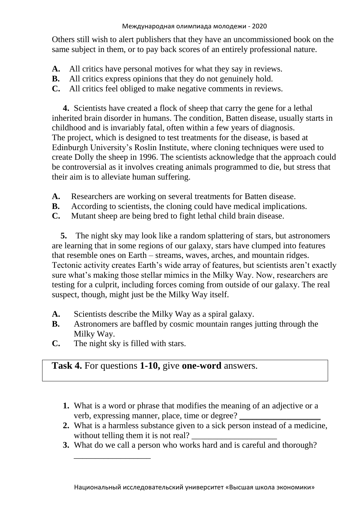Others still wish to alert publishers that they have an uncommissioned book on the same subject in them, or to pay back scores of an entirely professional nature.

- **A.** All critics have personal motives for what they say in reviews.
- **B.** All critics express opinions that they do not genuinely hold.
- **C.** All critics feel obliged to make negative comments in reviews.

**4.** Scientists have created a flock of sheep that carry the gene for a lethal inherited brain disorder in humans. The condition, Batten disease, usually starts in childhood and is invariably fatal, often within a few years of diagnosis. The project, which is designed to test treatments for the disease, is based at Edinburgh University's Roslin Institute, where cloning techniques were used to create Dolly the sheep in 1996. The scientists acknowledge that the approach could be controversial as it involves creating animals programmed to die, but stress that their aim is to alleviate human suffering.

- **A.** Researchers are working on several treatments for Batten disease.
- **B.** According to scientists, the cloning could have medical implications.
- **C.** Mutant sheep are being bred to fight lethal child brain disease.

**5.** The night sky may look like a random splattering of stars, but astronomers are learning that in some regions of our galaxy, stars have clumped into features that resemble ones on Earth – streams, waves, arches, and mountain ridges. Tectonic activity creates Earth's wide array of features, but scientists aren't exactly sure what's making those stellar mimics in the Milky Way. Now, researchers are testing for a culprit, including forces coming from outside of our galaxy. The real suspect, though, might just be the Milky Way itself.

- **A.** Scientists describe the Milky Way as a spiral galaxy.
- **B.** Astronomers are baffled by cosmic mountain ranges jutting through the Milky Way.
- **C.** The night sky is filled with stars.

\_\_\_\_\_\_\_\_\_\_\_\_\_\_\_\_\_\_

## **Task 4.** For questions **1-10,** give **one-word** answers.

- **1.** What is a word or phrase that modifies the meaning of an adjective or a verb, expressing manner, place, time or degree?
- **2.** What is a harmless substance given to a sick person instead of a medicine, without telling them it is not real?
- **3.** What do we call a person who works hard and is careful and thorough?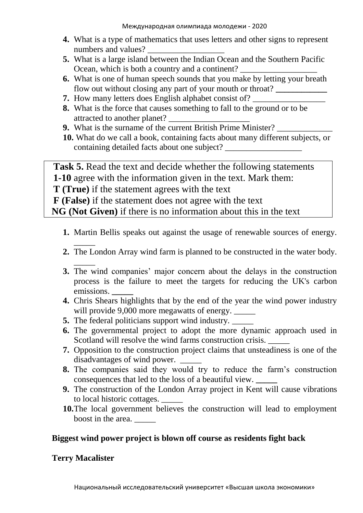- **4.** What is a type of mathematics that uses letters and other signs to represent numbers and values?
- **5.** What is a large island between the Indian Ocean and the Southern Pacific Ocean, which is both a country and a continent?
- **6.** What is one of human speech sounds that you make by letting your breath flow out without closing any part of your mouth or throat? **\_\_\_\_\_\_\_\_\_\_\_\_**
- **7.** How many letters does English alphabet consist of?
- **8.** What is the force that causes something to fall to the ground or to be attracted to another planet?
- **9.** What is the surname of the current British Prime Minister?
- **10.** What do we call a book, containing facts about many different subjects, or containing detailed facts about one subject? \_\_\_\_\_\_\_\_\_\_\_\_\_\_\_\_\_\_

**Task 5.** Read the text and decide whether the following statements **1-10** agree with the information given in the text. Mark them:

**T (True)** if the statement agrees with the text

**F (False)** if the statement does not agree with the text

**NG (Not Given)** if there is no information about this in the text

- **1.** Martin Bellis speaks out against the usage of renewable sources of energy.
- \_\_\_\_\_ **2.** The London Array wind farm is planned to be constructed in the water body.
- \_\_\_\_\_ **3.** The wind companies' major concern about the delays in the construction process is the failure to meet the targets for reducing the UK's carbon emissions. **\_\_\_\_\_**
- **4.** Chris Shears highlights that by the end of the year the wind power industry will provide 9,000 more megawatts of energy. \_\_\_\_\_
- **5.** The federal politicians support wind industry. \_\_\_\_\_
- **6.** The governmental project to adopt the more dynamic approach used in Scotland will resolve the wind farms construction crisis.
- **7.** Opposition to the construction project claims that unsteadiness is one of the disadvantages of wind power.
- **8.** The companies said they would try to reduce the farm's construction consequences that led to the loss of a beautiful view. **\_\_\_\_\_**
- **9.** The construction of the London Array project in Kent will cause vibrations to local historic cottages. \_\_\_\_\_
- **10.**The local government believes the construction will lead to employment boost in the area.

## **Biggest wind power project is blown off course as residents fight back**

## **[Terry Macalister](https://www.theguardian.com/profile/terrymacalister)**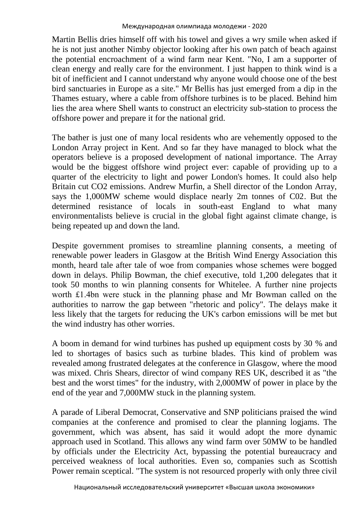Martin Bellis dries himself off with his towel and gives a wry smile when asked if he is not just another Nimby objector looking after his own patch of beach against the potential encroachment of a wind farm near Kent. "No, I am a supporter of clean energy and really care for the environment. I just happen to think wind is a bit of inefficient and I cannot understand why anyone would choose one of the best bird sanctuaries in Europe as a site." Mr Bellis has just emerged from a dip in the Thames estuary, where a cable from offshore turbines is to be placed. Behind him lies the area where Shell wants to construct an electricity sub-station to process the offshore power and prepare it for the national grid.

The bather is just one of many local residents who are vehemently opposed to the London Array project in Kent. And so far they have managed to block what the operators believe is a proposed development of national importance. The Array would be the biggest offshore wind project ever: capable of providing up to a quarter of the electricity to light and power London's homes. It could also help Britain cut CO2 emissions. Andrew Murfin, a Shell director of the London Array, says the 1,000MW scheme would displace nearly 2m tonnes of C02. But the determined resistance of locals in south-east England to what many environmentalists believe is crucial in the global fight against climate change, is being repeated up and down the land.

Despite government promises to streamline planning consents, a meeting of renewable power leaders in Glasgow at the British Wind [Energy](https://www.theguardian.com/environment/energy) Association this month, heard tale after tale of woe from companies whose schemes were bogged down in delays. Philip Bowman, the chief executive, told 1,200 delegates that it took 50 months to win planning consents for Whitelee. A further nine projects worth £1.4bn were stuck in the planning phase and Mr Bowman called on the authorities to narrow the gap between "rhetoric and policy". The delays make it less likely that the targets for reducing the UK's carbon emissions will be met but the wind industry has other worries.

A boom in demand for wind turbines has pushed up equipment costs by 30 % and led to shortages of basics such as turbine blades. This kind of problem was revealed among frustrated delegates at the conference in Glasgow, where the mood was mixed. Chris Shears, director of wind company RES UK, described it as "the best and the worst times" for the industry, with 2,000MW of power in place by the end of the year and 7,000MW stuck in the planning system.

A parade of Liberal Democrat, Conservative and SNP politicians praised the wind companies at the conference and promised to clear the planning logjams. The government, which was absent, has said it would adopt the more dynamic approach used in Scotland. This allows any wind farm over 50MW to be handled by officials under the Electricity Act, bypassing the potential bureaucracy and perceived weakness of local authorities. Even so, companies such as Scottish Power remain sceptical. "The system is not resourced properly with only three civil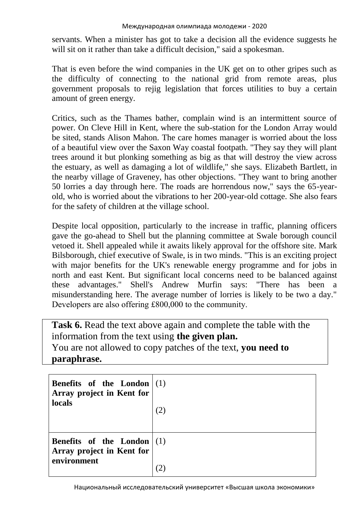servants. When a minister has got to take a decision all the evidence suggests he will sit on it rather than take a difficult decision," said a spokesman.

That is even before the wind companies in the UK get on to other gripes such as the difficulty of connecting to the national grid from remote areas, plus government proposals to rejig legislation that forces utilities to buy a certain amount of green energy.

Critics, such as the Thames bather, complain wind is an intermittent source of power. On Cleve Hill in Kent, where the sub-station for the London Array would be sited, stands Alison Mahon. The care homes manager is worried about the loss of a beautiful view over the Saxon Way coastal footpath. "They say they will plant trees around it but plonking something as big as that will destroy the view across the estuary, as well as damaging a lot of wildlife," she says. Elizabeth Bartlett, in the nearby village of Graveney, has other objections. "They want to bring another 50 lorries a day through here. The roads are horrendous now," says the 65-yearold, who is worried about the vibrations to her 200-year-old cottage. She also fears for the safety of children at the village school.

Despite local opposition, particularly to the increase in traffic, planning officers gave the go-ahead to Shell but the planning committee at Swale borough council vetoed it. Shell appealed while it awaits likely approval for the offshore site. Mark Bilsborough, chief executive of Swale, is in two minds. "This is an exciting project with major benefits for the UK's renewable energy programme and for jobs in north and east Kent. But significant local concerns need to be balanced against these advantages." Shell's Andrew Murfin says: "There has been a misunderstanding here. The average number of lorries is likely to be two a day." Developers are also offering £800,000 to the community.

Task **6.** Read the text above again and complete the table with the information from the text using **the given plan.** You are not allowed to copy patches of the text, **you need to paraphrase.**

| <b>Benefits</b> of the London $(1)$<br>Array project in Kent for<br>locals       |  |
|----------------------------------------------------------------------------------|--|
| <b>Benefits</b> of the London $ (1)$<br>Array project in Kent for<br>environment |  |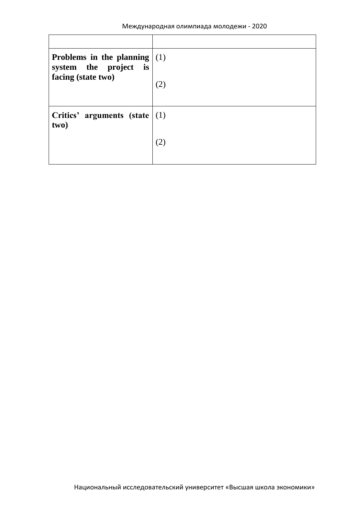| Problems in the planning $(1)$<br>system the project is<br>facing (state two) |     |
|-------------------------------------------------------------------------------|-----|
|                                                                               | (2) |
| Critics' arguments (state $(1)$ )<br>two)                                     |     |
|                                                                               |     |
|                                                                               |     |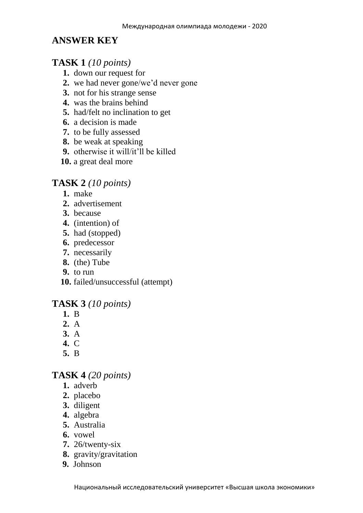## **ANSWER KEY**

## **TASK 1** *(10 points)*

- **1.** down our request for
- **2.** we had never gone/we'd never gone
- **3.** not for his strange sense
- **4.** was the brains behind
- **5.** had/felt no inclination to get
- **6.** a decision is made
- **7.** to be fully assessed
- **8.** be weak at speaking
- **9.** otherwise it will/it'll be killed
- **10.** a great deal more

## **TASK 2** *(10 points)*

- **1.** make
- **2.** advertisement
- **3.** because
- **4.** (intention) of
- **5.** had (stopped)
- **6.** predecessor
- **7.** necessarily
- **8.** (the) Tube
- **9.** to run
- **10.** failed/unsuccessful (attempt)

## **TASK 3** *(10 points)*

- **1.** B
- **2.** A
- **3.** A
- **4.** C
- **5.** B

## **TASK 4** *(20 points)*

- **1.** adverb
- **2.** placebo
- **3.** diligent
- **4.** algebra
- **5.** Australia
- **6.** vowel
- **7.** 26/twenty-six
- **8.** gravity/gravitation
- **9.** Johnson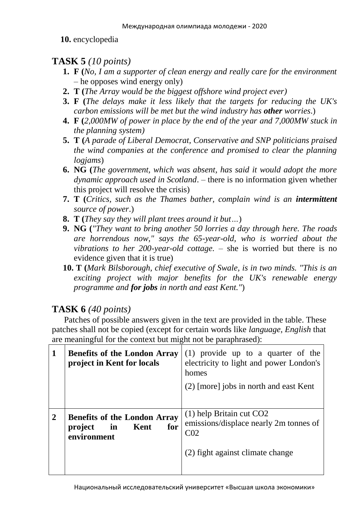**10.** encyclopedia

# **TASK 5** *(10 points)*

- **1. F (***No, I am a supporter of clean energy and really care for the environment* – he opposes wind energy only)
- **2. T (***The Array would be the biggest offshore wind project ever)*
- **3. F (***The delays make it less likely that the targets for reducing the UK's carbon emissions will be met but the wind industry has other worries*.)
- **4. F (***2,000MW of power in place by the end of the year and 7,000MW stuck in the planning system)*
- **5. T (***A parade of Liberal Democrat, Conservative and SNP politicians praised the wind companies at the conference and promised to clear the planning logjams*)
- **6. NG (***The government, which was absent, has said it would adopt the more dynamic approach used in Scotland*. – there is no information given whether this project will resolve the crisis)
- **7. T (***Critics, such as the Thames bather, complain wind is an intermittent source of power*.)
- **8. T (***They say they will plant trees around it but…*)
- **9. NG (***"They want to bring another 50 lorries a day through here. The roads are horrendous now," says the 65-year-old, who is worried about the vibrations to her 200-year-old cottage.* – she is worried but there is no evidence given that it is true)
- **10. T (***Mark Bilsborough, chief executive of Swale, is in two minds. "This is an exciting project with major benefits for the UK's renewable energy programme and for jobs in north and east Kent."*)

# **TASK 6** *(40 points)*

 Patches of possible answers given in the text are provided in the table. These patches shall not be copied (except for certain words like *language, English* that are meaningful for the context but might not be paraphrased):

| 1 | <b>Benefits of the London Array</b><br>project in Kent for locals                  | $(1)$ provide up to a quarter of the<br>electricity to light and power London's<br>homes<br>$(2)$ [more] jobs in north and east Kent |
|---|------------------------------------------------------------------------------------|--------------------------------------------------------------------------------------------------------------------------------------|
| 2 | <b>Benefits of the London Array</b><br>for<br>in<br>Kent<br>project<br>environment | $(1)$ help Britain cut CO2<br>emissions/displace nearly 2m tonnes of<br>CO <sub>2</sub><br>(2) fight against climate change          |